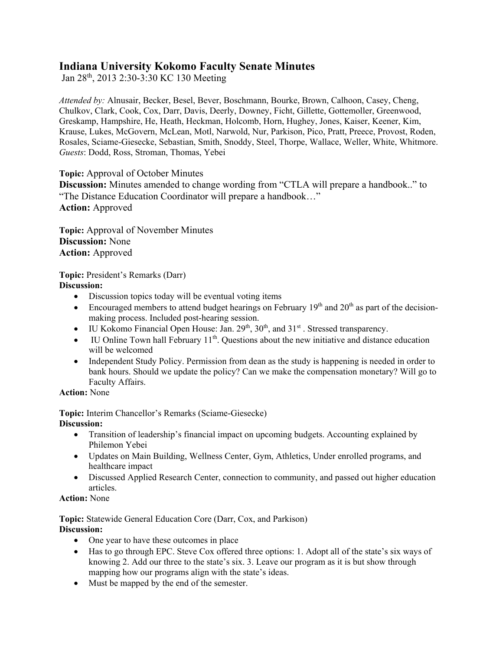# **Indiana University Kokomo Faculty Senate Minutes**

Jan 28th, 2013 2:30-3:30 KC 130 Meeting

*Attended by:* Alnusair, Becker, Besel, Bever, Boschmann, Bourke, Brown, Calhoon, Casey, Cheng, Chulkov, Clark, Cook, Cox, Darr, Davis, Deerly, Downey, Ficht, Gillette, Gottemoller, Greenwood, Greskamp, Hampshire, He, Heath, Heckman, Holcomb, Horn, Hughey, Jones, Kaiser, Keener, Kim, Krause, Lukes, McGovern, McLean, Motl, Narwold, Nur, Parkison, Pico, Pratt, Preece, Provost, Roden, Rosales, Sciame-Giesecke, Sebastian, Smith, Snoddy, Steel, Thorpe, Wallace, Weller, White, Whitmore. *Guests*: Dodd, Ross, Stroman, Thomas, Yebei

**Topic:** Approval of October Minutes

**Discussion:** Minutes amended to change wording from "CTLA will prepare a handbook.." to "The Distance Education Coordinator will prepare a handbook…" **Action:** Approved

**Topic:** Approval of November Minutes **Discussion:** None **Action:** Approved

**Topic:** President's Remarks (Darr) **Discussion:** 

- Discussion topics today will be eventual voting items
- Encouraged members to attend budget hearings on February  $19<sup>th</sup>$  and  $20<sup>th</sup>$  as part of the decisionmaking process. Included post-hearing session.
- IU Kokomo Financial Open House: Jan.  $29<sup>th</sup>$ ,  $30<sup>th</sup>$ , and  $31<sup>st</sup>$ . Stressed transparency.
- IU Online Town hall February  $11<sup>th</sup>$ . Ouestions about the new initiative and distance education will be welcomed
- Independent Study Policy. Permission from dean as the study is happening is needed in order to bank hours. Should we update the policy? Can we make the compensation monetary? Will go to Faculty Affairs.

**Action:** None

**Topic:** Interim Chancellor's Remarks (Sciame-Giesecke) **Discussion:**

- Transition of leadership's financial impact on upcoming budgets. Accounting explained by Philemon Yebei
- Updates on Main Building, Wellness Center, Gym, Athletics, Under enrolled programs, and healthcare impact
- Discussed Applied Research Center, connection to community, and passed out higher education articles.

## **Action:** None

**Topic:** Statewide General Education Core (Darr, Cox, and Parkison) **Discussion:**

- One year to have these outcomes in place
- Has to go through EPC. Steve Cox offered three options: 1. Adopt all of the state's six ways of knowing 2. Add our three to the state's six. 3. Leave our program as it is but show through mapping how our programs align with the state's ideas.
- Must be mapped by the end of the semester.